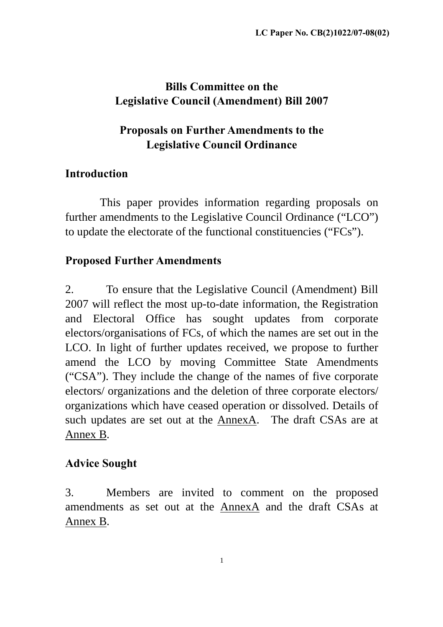# **Bills Committee on the Legislative Council (Amendment) Bill 2007**

# **Proposals on Further Amendments to the Legislative Council Ordinance**

# **Introduction**

 This paper provides information regarding proposals on further amendments to the Legislative Council Ordinance ("LCO") to update the electorate of the functional constituencies ("FCs").

## **Proposed Further Amendments**

2. To ensure that the Legislative Council (Amendment) Bill 2007 will reflect the most up-to-date information, the Registration and Electoral Office has sought updates from corporate electors/organisations of FCs, of which the names are set out in the LCO. In light of further updates received, we propose to further amend the LCO by moving Committee State Amendments ("CSA"). They include the change of the names of five corporate electors/ organizations and the deletion of three corporate electors/ organizations which have ceased operation or dissolved. Details of such updates are set out at the AnnexA. The draft CSAs are at Annex B.

# **Advice Sought**

3. Members are invited to comment on the proposed amendments as set out at the AnnexA and the draft CSAs at Annex B.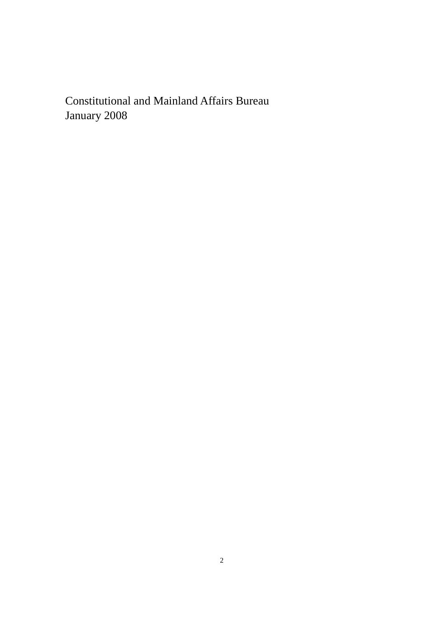Constitutional and Mainland Affairs Bureau January 2008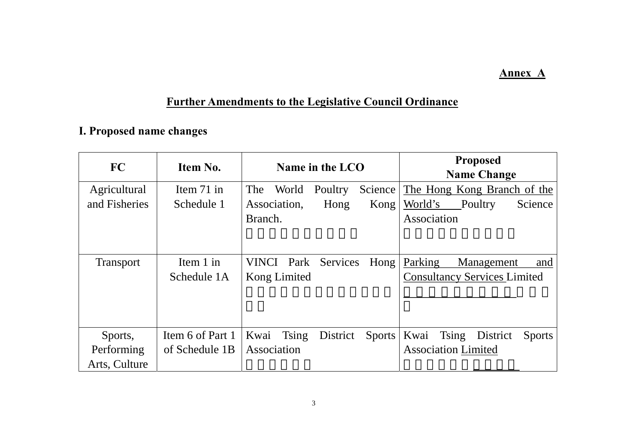### **Annex A**

# **Further Amendments to the Legislative Council Ordinance**

# **I. Proposed name changes**

| FC               | Item No.         | Name in the LCO                            | <b>Proposed</b><br><b>Name Change</b>             |
|------------------|------------------|--------------------------------------------|---------------------------------------------------|
| Agricultural     | Item $71$ in     | Science<br>The<br>World<br>Poultry         | The Hong Kong Branch of the                       |
| and Fisheries    | Schedule 1       | Association,<br>Hong<br>Kong               | World's<br>Poultry<br>Science                     |
|                  |                  | Branch.                                    | Association                                       |
|                  |                  |                                            |                                                   |
| <b>Transport</b> | Item $1$ in      | Hong<br><b>VINCI</b> Park Services         | Parking<br>Management<br>and                      |
|                  | Schedule 1A      | Kong Limited                               | <b>Consultancy Services Limited</b>               |
|                  |                  |                                            |                                                   |
|                  |                  |                                            |                                                   |
|                  |                  |                                            |                                                   |
| Sports,          | Item 6 of Part 1 | Kwai<br>Tsing<br>District<br><b>Sports</b> | Kwai<br><b>Tsing</b><br>District<br><b>Sports</b> |
| Performing       | of Schedule 1B   | Association                                | <b>Association Limited</b>                        |
| Arts, Culture    |                  |                                            |                                                   |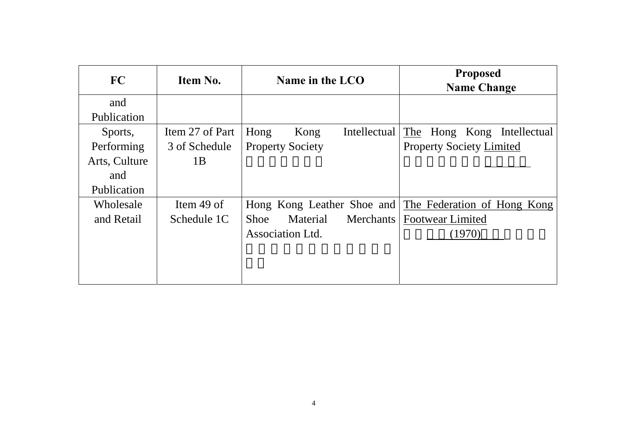| FC            | Item No.        | Name in the LCO                      | <b>Proposed</b><br><b>Name Change</b>                  |
|---------------|-----------------|--------------------------------------|--------------------------------------------------------|
| and           |                 |                                      |                                                        |
| Publication   |                 |                                      |                                                        |
| Sports,       | Item 27 of Part | Intellectual<br>Hong<br>Kong         | The Hong Kong Intellectual                             |
| Performing    | 3 of Schedule   | <b>Property Society</b>              | <b>Property Society Limited</b>                        |
| Arts, Culture | 1B              |                                      |                                                        |
| and           |                 |                                      |                                                        |
| Publication   |                 |                                      |                                                        |
| Wholesale     | Item 49 of      |                                      | Hong Kong Leather Shoe and The Federation of Hong Kong |
| and Retail    | Schedule 1C     | <b>Shoe</b><br>Material<br>Merchants | <b>Footwear Limited</b>                                |
|               |                 | <b>Association Ltd.</b>              | (1970)                                                 |
|               |                 |                                      |                                                        |
|               |                 |                                      |                                                        |
|               |                 |                                      |                                                        |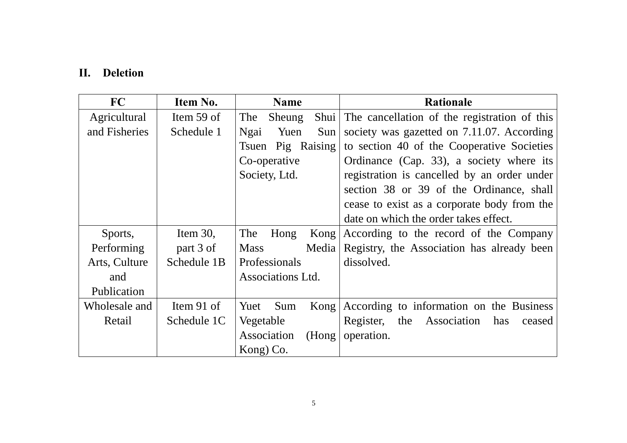### **II. Deletion**

| FC            | Item No.    | <b>Name</b>           | <b>Rationale</b>                                  |
|---------------|-------------|-----------------------|---------------------------------------------------|
| Agricultural  | Item 59 of  | The<br>Sheung         | Shui The cancellation of the registration of this |
| and Fisheries | Schedule 1  | Ngai<br>Yuen<br>$Sun$ | society was gazetted on 7.11.07. According        |
|               |             | Pig Raising<br>Tsuen  | to section 40 of the Cooperative Societies        |
|               |             | Co-operative          | Ordinance (Cap. 33), a society where its          |
|               |             | Society, Ltd.         | registration is cancelled by an order under       |
|               |             |                       | section 38 or 39 of the Ordinance, shall          |
|               |             |                       | cease to exist as a corporate body from the       |
|               |             |                       | date on which the order takes effect.             |
| Sports,       | Item $30$ , | The<br>Hong           | Kong According to the record of the Company       |
| Performing    | part 3 of   | <b>Mass</b><br>Media  | Registry, the Association has already been        |
| Arts, Culture | Schedule 1B | Professionals         | dissolved.                                        |
| and           |             | Associations Ltd.     |                                                   |
| Publication   |             |                       |                                                   |
| Wholesale and | Item 91 of  | Yuet<br>Sum           | Kong   According to information on the Business   |
| Retail        | Schedule 1C | Vegetable             | Register,<br>the Association<br>has<br>ceased     |
|               |             | Association<br>(Hong) | operation.                                        |
|               |             | Kong) Co.             |                                                   |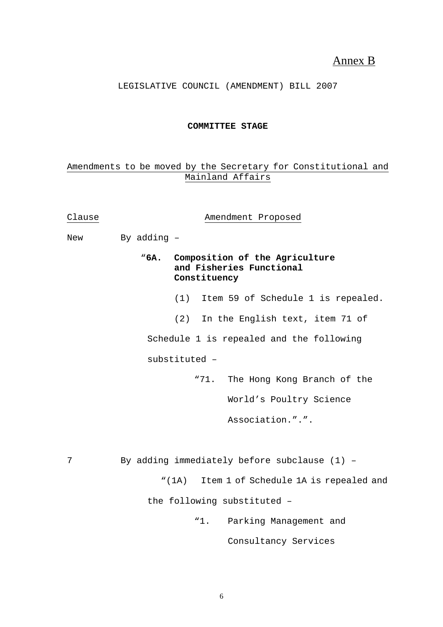### Annex B

LEGISLATIVE COUNCIL (AMENDMENT) BILL 2007

#### **COMMITTEE STAGE**

#### Amendments to be moved by the Secretary for Constitutional and Mainland Affairs

| Clause |                                              | Amendment Proposed                                                              |
|--------|----------------------------------------------|---------------------------------------------------------------------------------|
| New    | By adding -                                  |                                                                                 |
|        |                                              | "6A. Composition of the Agriculture<br>and Fisheries Functional<br>Constituency |
|        |                                              | (1) Item 59 of Schedule 1 is repealed.                                          |
|        |                                              | In the English text, item 71 of<br>(2)                                          |
|        |                                              | Schedule 1 is repealed and the following                                        |
|        |                                              | substituted -                                                                   |
|        |                                              | The Hong Kong Branch of the<br>"71.                                             |
|        |                                              | World's Poultry Science                                                         |
|        |                                              | Association.".".                                                                |
|        |                                              |                                                                                 |
| 7      | By adding immediately before subclause (1) - |                                                                                 |
|        |                                              | "(1A) Item 1 of Schedule 1A is repealed and                                     |
|        |                                              | the following substituted -                                                     |
|        |                                              | Parking Management and<br>"1.                                                   |
|        |                                              | Consultancy Services                                                            |